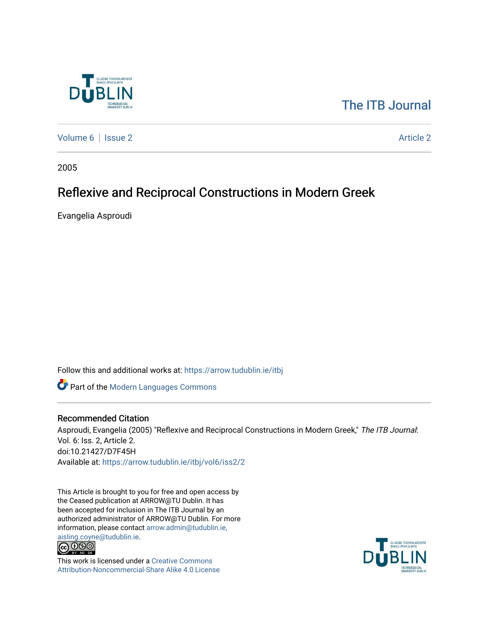

## [The ITB Journal](https://arrow.tudublin.ie/itbj)

[Volume 6](https://arrow.tudublin.ie/itbj/vol6) | [Issue 2](https://arrow.tudublin.ie/itbj/vol6/iss2) Article 2

2005

# Reflexive and Reciprocal Constructions in Modern Greek

Evangelia Asproudi

Follow this and additional works at: [https://arrow.tudublin.ie/itbj](https://arrow.tudublin.ie/itbj?utm_source=arrow.tudublin.ie%2Fitbj%2Fvol6%2Fiss2%2F2&utm_medium=PDF&utm_campaign=PDFCoverPages) 

Part of the [Modern Languages Commons](http://network.bepress.com/hgg/discipline/1130?utm_source=arrow.tudublin.ie%2Fitbj%2Fvol6%2Fiss2%2F2&utm_medium=PDF&utm_campaign=PDFCoverPages) 

### Recommended Citation

Asproudi, Evangelia (2005) "Reflexive and Reciprocal Constructions in Modern Greek," The ITB Journal: Vol. 6: Iss. 2, Article 2. doi:10.21427/D7F45H Available at: [https://arrow.tudublin.ie/itbj/vol6/iss2/2](https://arrow.tudublin.ie/itbj/vol6/iss2/2?utm_source=arrow.tudublin.ie%2Fitbj%2Fvol6%2Fiss2%2F2&utm_medium=PDF&utm_campaign=PDFCoverPages) 

This Article is brought to you for free and open access by the Ceased publication at ARROW@TU Dublin. It has been accepted for inclusion in The ITB Journal by an authorized administrator of ARROW@TU Dublin. For more information, please contact [arrow.admin@tudublin.ie,](mailto:arrow.admin@tudublin.ie,%20aisling.coyne@tudublin.ie) 



This work is licensed under a [Creative Commons](http://creativecommons.org/licenses/by-nc-sa/4.0/) [Attribution-Noncommercial-Share Alike 4.0 License](http://creativecommons.org/licenses/by-nc-sa/4.0/)

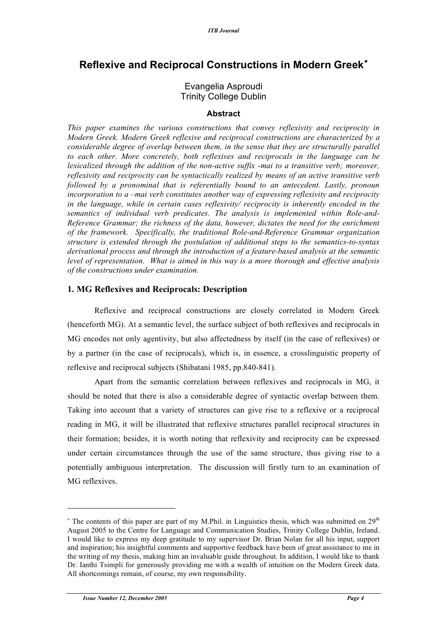## **Reflexive and Reciprocal Constructions in Modern Greek**<sup>∗</sup>

## Evangelia Asproudi Trinity College Dublin

#### **Abstract**

*This paper examines the various constructions that convey reflexivity and reciprocity in Modern Greek. Modern Greek reflexive and reciprocal constructions are characterized by a considerable degree of overlap between them, in the sense that they are structurally parallel to each other. More concretely, both reflexives and reciprocals in the language can be lexicalized through the addition of the non-active suffix -mai to a transitive verb; moreover, reflexivity and reciprocity can be syntactically realized by means of an active transitive verb followed by a pronominal that is referentially bound to an antecedent. Lastly, pronoun incorporation to a –mai verb constitutes another way of expressing reflexivity and reciprocity in the language, while in certain cases reflexivity/ reciprocity is inherently encoded in the semantics of individual verb predicates. The analysis is implemented within Role-and-Reference Grammar; the richness of the data, however, dictates the need for the enrichment of the framework. Specifically, the traditional Role-and-Reference Grammar organization structure is extended through the postulation of additional steps to the semantics-to-syntax derivational process and through the introduction of a feature-based analysis at the semantic level of representation. What is aimed in this way is a more thorough and effective analysis of the constructions under examination.*

### **1. MG Reflexives and Reciprocals: Description**

Reflexive and reciprocal constructions are closely correlated in Modern Greek (henceforth MG). At a semantic level, the surface subject of both reflexives and reciprocals in MG encodes not only agentivity, but also affectedness by itself (in the case of reflexives) or by a partner (in the case of reciprocals), which is, in essence, a crosslinguistic property of reflexive and reciprocal subjects (Shibatani 1985, pp.840-841).

Apart from the semantic correlation between reflexives and reciprocals in MG, it should be noted that there is also a considerable degree of syntactic overlap between them. Taking into account that a variety of structures can give rise to a reflexive or a reciprocal reading in MG, it will be illustrated that reflexive structures parallel reciprocal structures in their formation; besides, it is worth noting that reflexivity and reciprocity can be expressed under certain circumstances through the use of the same structure, thus giving rise to a potentially ambiguous interpretation. The discussion will firstly turn to an examination of MG reflexives.

 $*$  The contents of this paper are part of my M.Phil. in Linguistics thesis, which was submitted on  $29<sup>th</sup>$ August 2005 to the Centre for Language and Communication Studies, Trinity College Dublin, Ireland. I would like to express my deep gratitude to my supervisor Dr. Brian Nolan for all his input, support and inspiration; his insightful comments and supportive feedback have been of great assistance to me in the writing of my thesis, making him an invaluable guide throughout. In addition, I would like to thank Dr. Ianthi Tsimpli for generously providing me with a wealth of intuition on the Modern Greek data. All shortcomings remain, of course, my own responsibility.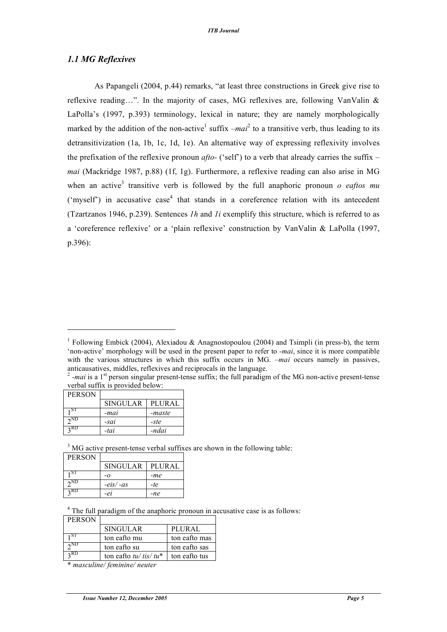### *1.1 MG Reflexives*

As Papangeli (2004, p.44) remarks, "at least three constructions in Greek give rise to reflexive reading…". In the majority of cases, MG reflexives are, following VanValin & LaPolla's (1997, p.393) terminology, lexical in nature; they are namely morphologically marked by the addition of the non-active<sup>1</sup> suffix  $-mai^2$  to a transitive verb, thus leading to its detransitivization (1a, 1b, 1c, 1d, 1e). An alternative way of expressing reflexivity involves the prefixation of the reflexive pronoun *afto-* ('self') to a verb that already carries the suffix *– mai* (Mackridge 1987, p.88) (1f, 1g). Furthermore, a reflexive reading can also arise in MG when an active<sup>3</sup> transitive verb is followed by the full anaphoric pronoun *o eaftos mu* ('myself') in accusative case<sup>4</sup> that stands in a coreference relation with its antecedent (Tzartzanos 1946, p.239). Sentences *1h* and *1i* exemplify this structure, which is referred to as a 'coreference reflexive' or a 'plain reflexive' construction by VanValin & LaPolla (1997, p.396):

verbal suffix is provided below:

| <b>PERSON</b>              |                 |               |
|----------------------------|-----------------|---------------|
|                            | <b>SINGULAR</b> | <b>PLURAL</b> |
| ı ST                       | -mai            | -maste        |
| $2^{\overline{\text{ND}}}$ | -sai            | -ste          |
| RD                         | -tai            | -ndai         |

l

 $3 \text{ MG}$  active present-tense verbal suffixes are shown in the following table:

| <b>PERSON</b> |                 |        |
|---------------|-----------------|--------|
|               | <b>SINGULAR</b> | PLURAL |
| ı ST          | -0              | -me    |
| $2^{ND}$      | $-eis/-as$      | -te    |
| 2 RD          | -ei             | -ne    |

<sup>4</sup> The full paradigm of the anaphoric pronoun in accusative case is as follows:

| <b>PERSON</b>          |                         |               |
|------------------------|-------------------------|---------------|
|                        | <b>SINGULAR</b>         | <b>PLURAL</b> |
| SТ                     | ton eafto mu            | ton eafto mas |
| $\gamma$ <sub>ND</sub> | ton eafto su            | ton eafto sas |
| $2$ RD                 | ton eafto $tu/tis/tu^*$ | ton eafto tus |

\* *masculine/ feminine/ neuter*

<sup>&</sup>lt;sup>1</sup> Following Embick (2004), Alexiadou & Anagnostopoulou (2004) and Tsimpli (in press-b), the term 'non-active' morphology will be used in the present paper to refer to *-mai*, since it is more compatible with the various structures in which this suffix occurs in MG. *–mai* occurs namely in passives, anticausatives, middles, reflexives and reciprocals in the language.<br><sup>2</sup> *-mai* is a 1<sup>st</sup> person singular present-tense suffix; the full paradigm of the MG non-active present-tense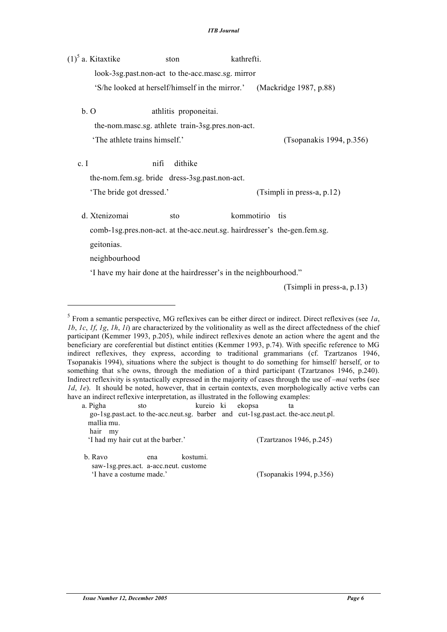$(1)^5$  a. Kitaxtike ston kathrefti. look-3sg.past.non-act to the-acc.masc.sg. mirror 'S/he looked at herself/himself in the mirror.' (Mackridge 1987, p.88)

b. O athlitis proponeitai.

the-nom.masc.sg. athlete train-3sg.pres.non-act.

'The athlete trains himself.' (Tsopanakis 1994, p.356)

c. I mifi dithike

the-nom.fem.sg. bride dress-3sg.past.non-act.

'The bride got dressed.' (Tsimpli in press-a, p.12)

d. Xtenizomai sto kommotirio tis

comb-1sg.pres.non-act. at the-acc.neut.sg. hairdresser's the-gen.fem.sg.

geitonias.

 $\overline{a}$ 

neighbourhood

'I have my hair done at the hairdresser's in the neighbourhood."

(Tsimpli in press-a, p.13)

a. Pigha sto kureio ki ekopsa ta go-1sg.past.act. to the-acc.neut.sg. barber and cut-1sg.past.act. the-acc.neut.pl. mallia mu. hair my 'I had my hair cut at the barber.' (Tzartzanos 1946, p.245)

b. Ravo ena kostumi. saw-1sg.pres.act. a-acc.neut. custome 'I have a costume made.' (Tsopanakis 1994, p.356)

<sup>5</sup> From a semantic perspective, MG reflexives can be either direct or indirect. Direct reflexives (see *1a*, *1b*, *1c*, *1f*, *1g*, *1h*, *1i*) are characterized by the volitionality as well as the direct affectedness of the chief participant (Kemmer 1993, p.205), while indirect reflexives denote an action where the agent and the beneficiary are coreferential but distinct entities (Kemmer 1993, p.74). With specific reference to MG indirect reflexives, they express, according to traditional grammarians (cf. Tzartzanos 1946, Tsopanakis 1994), situations where the subject is thought to do something for himself/ herself, or to something that s/he owns, through the mediation of a third participant (Tzartzanos 1946, p.240). Indirect reflexivity is syntactically expressed in the majority of cases through the use of *–mai* verbs (see *1d*, *1e*). It should be noted, however, that in certain contexts, even morphologically active verbs can have an indirect reflexive interpretation, as illustrated in the following examples: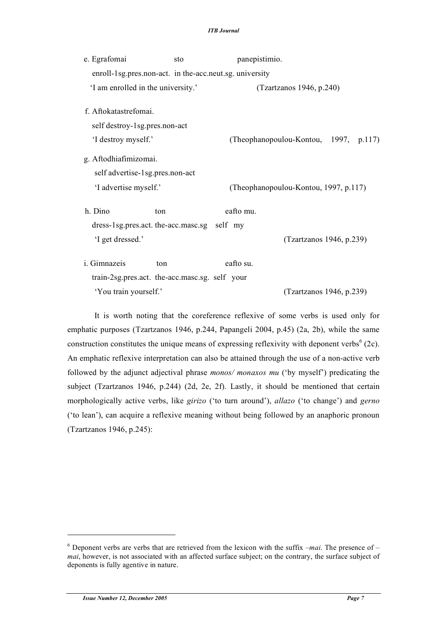| e. Egrafomai                                            | sto | panepistimio.                         |                                       |  |  |
|---------------------------------------------------------|-----|---------------------------------------|---------------------------------------|--|--|
| enroll-1sg.pres.non-act. in the-acc.neut.sg. university |     |                                       |                                       |  |  |
| 'I am enrolled in the university.'                      |     | (Tzartzanos 1946, p.240)              |                                       |  |  |
| f. Aftokatastrefomai.                                   |     |                                       |                                       |  |  |
| self destroy-1sg.pres.non-act                           |     |                                       |                                       |  |  |
| 'I destroy myself.'                                     |     |                                       | (Theophanopoulou-Kontou, 1997, p.117) |  |  |
| g. Aftodhiafimizomai.                                   |     |                                       |                                       |  |  |
| self advertise-1sg.pres.non-act                         |     |                                       |                                       |  |  |
| 'I advertise myself.'                                   |     | (Theophanopoulou-Kontou, 1997, p.117) |                                       |  |  |
| h. Dino                                                 | ton | eafto mu.                             |                                       |  |  |
| dress-1sg.pres.act. the-acc.masc.sg self my             |     |                                       |                                       |  |  |
| 'I get dressed.'                                        |     |                                       | (Tzartzanos 1946, p.239)              |  |  |
| i. Gimnazeis                                            | ton | eafto su.                             |                                       |  |  |
| train-2sg.pres.act. the-acc.masc.sg. self your          |     |                                       |                                       |  |  |
| 'You train yourself.'                                   |     |                                       | (Tzartzanos 1946, p.239)              |  |  |

It is worth noting that the coreference reflexive of some verbs is used only for emphatic purposes (Tzartzanos 1946, p.244, Papangeli 2004, p.45) (2a, 2b), while the same construction constitutes the unique means of expressing reflexivity with deponent verbs<sup>6</sup> (2c). An emphatic reflexive interpretation can also be attained through the use of a non-active verb followed by the adjunct adjectival phrase *monos/ monaxos mu* ('by myself') predicating the subject (Tzartzanos 1946, p.244) (2d, 2e, 2f). Lastly, it should be mentioned that certain morphologically active verbs, like *girizo* ('to turn around'), *allazo* ('to change') and *gerno* ('to lean'), can acquire a reflexive meaning without being followed by an anaphoric pronoun (Tzartzanos 1946, p.245):

<sup>6</sup> Deponent verbs are verbs that are retrieved from the lexicon with the suffix *–mai*. The presence of *– mai*, however, is not associated with an affected surface subject; on the contrary, the surface subject of deponents is fully agentive in nature.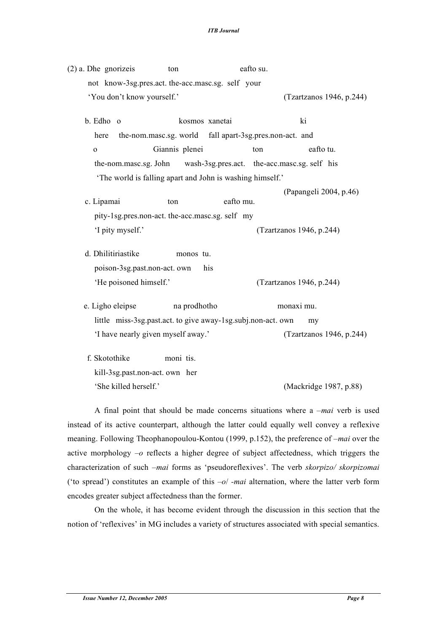| $(2)$ a. Dhe gnorizeis                           | ton                                                                | eafto su. |                          |
|--------------------------------------------------|--------------------------------------------------------------------|-----------|--------------------------|
| not know-3sg.pres.act.the-acc.masc.sg. self your |                                                                    |           |                          |
| 'You don't know yourself.'                       |                                                                    |           | (Tzartzanos 1946, p.244) |
| b. Edho o                                        | kosmos xanetai                                                     |           | ki                       |
| here                                             | the-nom.masc.sg. world fall apart-3sg.pres.non-act. and            |           |                          |
| $\mathbf{O}$                                     | Giannis plenei                                                     | ton       | eafto tu.                |
|                                                  | the-nom.masc.sg. John wash-3sg.pres.act. the-acc.masc.sg. self his |           |                          |
|                                                  | 'The world is falling apart and John is washing himself.'          |           |                          |
|                                                  |                                                                    |           | (Papangeli 2004, p.46)   |
| c. Lipamai                                       | ton                                                                | eafto mu. |                          |
|                                                  | pity-1sg.pres.non-act. the-acc.masc.sg. self my                    |           |                          |
| 'I pity myself.'                                 |                                                                    |           | (Tzartzanos 1946, p.244) |
| d. Dhilitiriastike                               | monos tu.                                                          |           |                          |
| poison-3sg.past.non-act.own                      | his                                                                |           |                          |
| 'He poisoned himself.'                           |                                                                    |           | (Tzartzanos 1946, p.244) |
| e. Ligho eleipse                                 | na prodhotho                                                       |           | monaxi mu.               |
|                                                  | little miss-3sg.past.act. to give away-1sg.subj.non-act. own       |           | my                       |
| 'I have nearly given myself away.'               |                                                                    |           | (Tzartzanos 1946, p.244) |
| f. Skotothike                                    | moni tis.                                                          |           |                          |
| kill-3sg.past.non-act.own her                    |                                                                    |           |                          |
| 'She killed herself.'                            |                                                                    |           | (Mackridge 1987, p.88)   |

A final point that should be made concerns situations where a *–mai* verb is used instead of its active counterpart, although the latter could equally well convey a reflexive meaning. Following Theophanopoulou-Kontou (1999, p.152), the preference of *–mai* over the active morphology *–o* reflects a higher degree of subject affectedness, which triggers the characterization of such *–mai* forms as 'pseudoreflexives'. The verb *skorpizo/ skorpizomai* ('to spread') constitutes an example of this *–o*/ *-mai* alternation, where the latter verb form encodes greater subject affectedness than the former.

On the whole, it has become evident through the discussion in this section that the notion of 'reflexives' in MG includes a variety of structures associated with special semantics.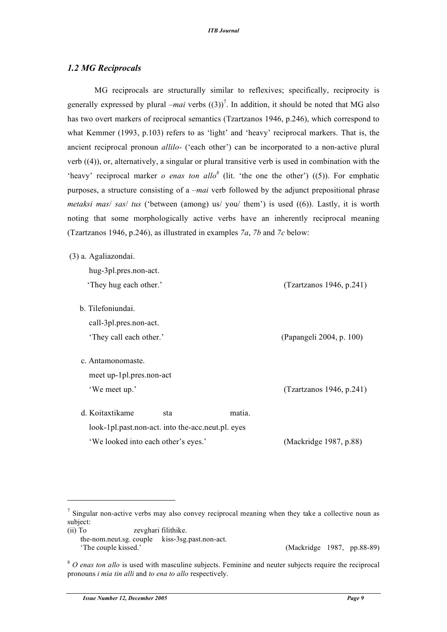#### *1.2 MG Reciprocals*

MG reciprocals are structurally similar to reflexives; specifically, reciprocity is generally expressed by plural *–mai* verbs  $((3))^7$ . In addition, it should be noted that MG also has two overt markers of reciprocal semantics (Tzartzanos 1946, p.246), which correspond to what Kemmer (1993, p.103) refers to as 'light' and 'heavy' reciprocal markers. That is, the ancient reciprocal pronoun *allilo-* ('each other') can be incorporated to a non-active plural verb ((4)), or, alternatively, a singular or plural transitive verb is used in combination with the 'heavy' reciprocal marker *o* enas ton allo<sup>8</sup> (lit. 'the one the other') ((5)). For emphatic purposes, a structure consisting of a *–mai* verb followed by the adjunct prepositional phrase *metaksi mas*/ *sas*/ *tus* ('between (among) us/ you/ them') is used ((6)). Lastly, it is worth noting that some morphologically active verbs have an inherently reciprocal meaning (Tzartzanos 1946, p.246), as illustrated in examples *7a*, *7b* and *7c* below:

(3) a. Agaliazondai.

| hug-3pl.pres.non-act.                             |                          |
|---------------------------------------------------|--------------------------|
| 'They hug each other.'                            | (Tzartzanos 1946, p.241) |
|                                                   |                          |
| b. Tilefoniundai.                                 |                          |
| call-3pl.pres.non-act.                            |                          |
| 'They call each other.'                           | (Papangeli 2004, p. 100) |
|                                                   |                          |
| c. Antamonomaste.                                 |                          |
| meet up-1pl.pres.non-act                          |                          |
| 'We meet up.'                                     | (Tzartzanos 1946, p.241) |
|                                                   |                          |
| d. Koitaxtikame<br>sta                            | matia.                   |
| look-1pl.past.non-act. into the-acc.neut.pl. eyes |                          |
| 'We looked into each other's eyes.'               | (Mackridge 1987, p.88)   |

'The couple kissed.' (Mackridge 1987, pp.88-89)

 $\frac{7}{1}$  Singular non-active verbs may also convey reciprocal meaning when they take a collective noun as subject:

<sup>(</sup>ii) To zevghari filithike. the-nom.neut.sg. couple kiss-3sg.past.non-act.

<sup>8</sup> *O enas ton allo* is used with masculine subjects. Feminine and neuter subjects require the reciprocal pronouns *i mia tin alli* and *to ena to allo* respectively.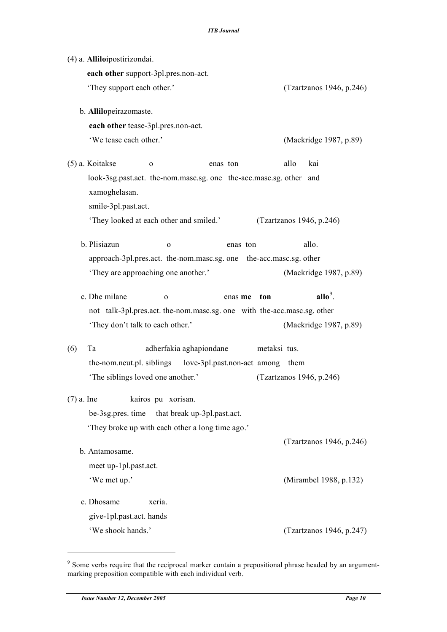(4) a. **Allilo**ipostirizondai. **each other** support-3pl.pres.non-act. 'They support each other.' (Tzartzanos 1946, p.246) b. **Allilo**peirazomaste. **each other** tease-3pl.pres.non-act. 'We tease each other.' (Mackridge 1987, p.89) (5) a. Koitakse o enas ton allo kai look-3sg.past.act. the-nom.masc.sg. one the-acc.masc.sg. other and xamoghelasan. smile-3pl.past.act. 'They looked at each other and smiled.' (Tzartzanos 1946, p.246) b. Plisiazun o enas ton allo. approach-3pl.pres.act. the-nom.masc.sg. one the-acc.masc.sg. other 'They are approaching one another.' (Mackridge 1987, p.89) c. Dhe milane o enas **me** ton  $\n <sup>9</sup>\n$ not talk-3pl.pres.act. the-nom.masc.sg. one with the-acc.masc.sg. other 'They don't talk to each other.' (Mackridge 1987, p.89) (6) Ta adherfakia aghapiondane metaksi tus. the-nom.neut.pl. siblings love-3pl.past.non-act among them 'The siblings loved one another.' (Tzartzanos 1946, p.246) (7) a. Ine kairos pu xorisan. be-3sg.pres. time that break up-3pl.past.act. 'They broke up with each other a long time ago.' (Tzartzanos 1946, p.246) b. Antamosame. meet up-1pl.past.act. 'We met up.' (Mirambel 1988, p.132) c. Dhosame xeria. give-1pl.past.act. hands 'We shook hands.' (Tzartzanos 1946, p.247)

 $\overline{a}$ 

<sup>&</sup>lt;sup>9</sup> Some verbs require that the reciprocal marker contain a prepositional phrase headed by an argumentmarking preposition compatible with each individual verb.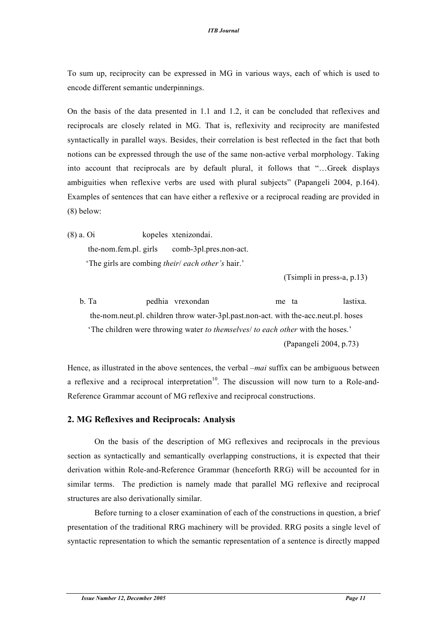To sum up, reciprocity can be expressed in MG in various ways, each of which is used to encode different semantic underpinnings.

On the basis of the data presented in 1.1 and 1.2, it can be concluded that reflexives and reciprocals are closely related in MG. That is, reflexivity and reciprocity are manifested syntactically in parallel ways. Besides, their correlation is best reflected in the fact that both notions can be expressed through the use of the same non-active verbal morphology. Taking into account that reciprocals are by default plural, it follows that "…Greek displays ambiguities when reflexive verbs are used with plural subjects" (Papangeli 2004, p.164). Examples of sentences that can have either a reflexive or a reciprocal reading are provided in (8) below:

(8) a. Oi kopeles xtenizondai. the-nom.fem.pl. girls comb-3pl.pres.non-act. 'The girls are combing *their*/ *each other's* hair.'

(Tsimpli in press-a, p.13)

b. Ta pedhia vrexondan me ta lastixa. the-nom.neut.pl. children throw water-3pl.past.non-act. with the-acc.neut.pl. hoses 'The children were throwing water *to themselves*/ *to each other* with the hoses.' (Papangeli 2004, p.73)

Hence, as illustrated in the above sentences, the verbal *–mai* suffix can be ambiguous between a reflexive and a reciprocal interpretation<sup>10</sup>. The discussion will now turn to a Role-and-Reference Grammar account of MG reflexive and reciprocal constructions.

### **2. MG Reflexives and Reciprocals: Analysis**

On the basis of the description of MG reflexives and reciprocals in the previous section as syntactically and semantically overlapping constructions, it is expected that their derivation within Role-and-Reference Grammar (henceforth RRG) will be accounted for in similar terms. The prediction is namely made that parallel MG reflexive and reciprocal structures are also derivationally similar.

Before turning to a closer examination of each of the constructions in question, a brief presentation of the traditional RRG machinery will be provided. RRG posits a single level of syntactic representation to which the semantic representation of a sentence is directly mapped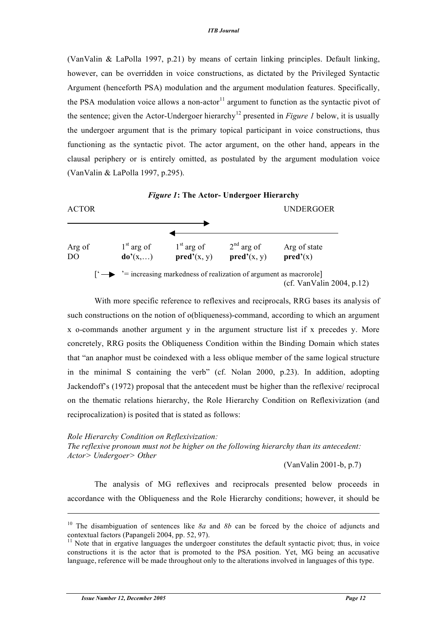(VanValin & LaPolla 1997, p.21) by means of certain linking principles. Default linking, however, can be overridden in voice constructions, as dictated by the Privileged Syntactic Argument (henceforth PSA) modulation and the argument modulation features. Specifically, the PSA modulation voice allows a non-actor $11$  argument to function as the syntactic pivot of the sentence; given the Actor-Undergoer hierarchy 12 presented in *Figure 1* below, it is usually the undergoer argument that is the primary topical participant in voice constructions, thus functioning as the syntactic pivot. The actor argument, on the other hand, appears in the clausal periphery or is entirely omitted, as postulated by the argument modulation voice (VanValin & LaPolla 1997, p.295).



With more specific reference to reflexives and reciprocals, RRG bases its analysis of such constructions on the notion of o(bliqueness)-command, according to which an argument x o-commands another argument y in the argument structure list if x precedes y. More concretely, RRG posits the Obliqueness Condition within the Binding Domain which states that "an anaphor must be coindexed with a less oblique member of the same logical structure in the minimal S containing the verb" (cf. Nolan 2000, p.23). In addition, adopting Jackendoff's (1972) proposal that the antecedent must be higher than the reflexive/ reciprocal on the thematic relations hierarchy, the Role Hierarchy Condition on Reflexivization (and reciprocalization) is posited that is stated as follows:

*Role Hierarchy Condition on Reflexivization:*

*The reflexive pronoun must not be higher on the following hierarchy than its antecedent: Actor> Undergoer> Other*

(VanValin 2001-b, p.7)

The analysis of MG reflexives and reciprocals presented below proceeds in accordance with the Obliqueness and the Role Hierarchy conditions; however, it should be

<sup>10</sup> The disambiguation of sentences like *8a* and *8b* can be forced by the choice of adjuncts and contextual factors (Papangeli 2004, pp. 52, 97).<br><sup>11</sup> Note that in ergative languages the undergoer constitutes the default syntactic pivot; thus, in voice

constructions it is the actor that is promoted to the PSA position. Yet, MG being an accusative language, reference will be made throughout only to the alterations involved in languages of this type.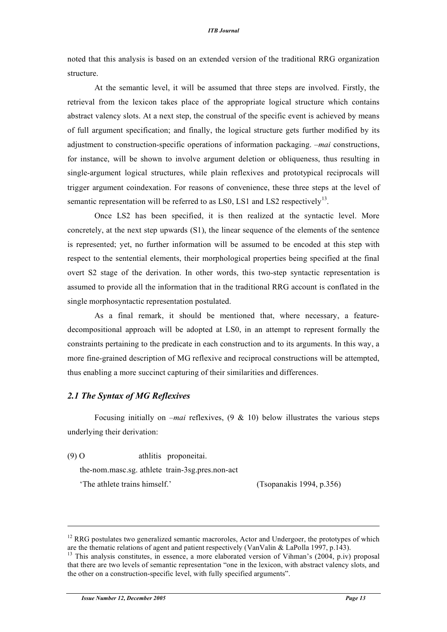noted that this analysis is based on an extended version of the traditional RRG organization structure.

At the semantic level, it will be assumed that three steps are involved. Firstly, the retrieval from the lexicon takes place of the appropriate logical structure which contains abstract valency slots. At a next step, the construal of the specific event is achieved by means of full argument specification; and finally, the logical structure gets further modified by its adjustment to construction-specific operations of information packaging. *–mai* constructions, for instance, will be shown to involve argument deletion or obliqueness, thus resulting in single-argument logical structures, while plain reflexives and prototypical reciprocals will trigger argument coindexation. For reasons of convenience, these three steps at the level of semantic representation will be referred to as LS0, LS1 and LS2 respectively<sup>13</sup>.

Once LS2 has been specified, it is then realized at the syntactic level. More concretely, at the next step upwards (S1), the linear sequence of the elements of the sentence is represented; yet, no further information will be assumed to be encoded at this step with respect to the sentential elements, their morphological properties being specified at the final overt S2 stage of the derivation. In other words, this two-step syntactic representation is assumed to provide all the information that in the traditional RRG account is conflated in the single morphosyntactic representation postulated.

As a final remark, it should be mentioned that, where necessary, a featuredecompositional approach will be adopted at LS0, in an attempt to represent formally the constraints pertaining to the predicate in each construction and to its arguments. In this way, a more fine-grained description of MG reflexive and reciprocal constructions will be attempted, thus enabling a more succinct capturing of their similarities and differences.

#### *2.1 The Syntax of MG Reflexives*

Focusing initially on *–mai* reflexives, (9 & 10) below illustrates the various steps underlying their derivation:

(9) O athlitis proponeitai.

the-nom.masc.sg. athlete train-3sg.pres.non-act

'The athlete trains himself.' (Tsopanakis 1994, p.356)

<sup>&</sup>lt;sup>12</sup> RRG postulates two generalized semantic macroroles, Actor and Undergoer, the prototypes of which are the thematic relations of agent and patient respectively (VanValin & LaPolla 1997, p.143).<br><sup>13</sup> This analysis constitutes, in essence, a more elaborated version of Vihman's (2004, p.iv) proposal

that there are two levels of semantic representation "one in the lexicon, with abstract valency slots, and the other on a construction-specific level, with fully specified arguments".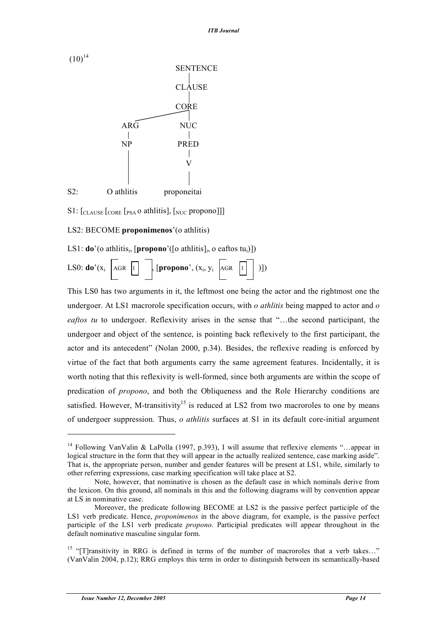

 $S1:$  [CLAUSE  $[cosE]$  [PSA O athlitis],  $[<sub>NUC</sub>$  propono]]]

#### LS2: BECOME **proponimenos**'(o athlitis)

LS1:  $\mathbf{do}$ '(o athlitis<sub>i</sub>, [propono'([o athlitis]<sub>i</sub>, o eaftos tu<sub>i</sub>)])

|  |  |  |  | LS0: <b>do</b> '(x <sub>i</sub> AGR $\boxed{1}$ , [propono', (x <sub>i</sub> , y <sub>i</sub> AGR $\boxed{1}$ )]) |  |  |  |
|--|--|--|--|-------------------------------------------------------------------------------------------------------------------|--|--|--|
|--|--|--|--|-------------------------------------------------------------------------------------------------------------------|--|--|--|

This LS0 has two arguments in it, the leftmost one being the actor and the rightmost one the undergoer. At LS1 macrorole specification occurs, with *o athlitis* being mapped to actor and *o eaftos tu* to undergoer. Reflexivity arises in the sense that "…the second participant, the undergoer and object of the sentence, is pointing back reflexively to the first participant, the actor and its antecedent" (Nolan 2000, p.34). Besides, the reflexive reading is enforced by virtue of the fact that both arguments carry the same agreement features. Incidentally, it is worth noting that this reflexivity is well-formed, since both arguments are within the scope of predication of *propono*, and both the Obliqueness and the Role Hierarchy conditions are satisfied. However, M-transitivity<sup>15</sup> is reduced at LS2 from two macroroles to one by means of undergoer suppression. Thus, *o athlitis* surfaces at S1 in its default core-initial argument

<sup>&</sup>lt;sup>14</sup> Following VanValin & LaPolla (1997, p.393), I will assume that reflexive elements "...appear in logical structure in the form that they will appear in the actually realized sentence, case marking aside". That is, the appropriate person, number and gender features will be present at LS1, while, similarly to other referring expressions, case marking specification will take place at S2.

Note, however, that nominative is chosen as the default case in which nominals derive from the lexicon. On this ground, all nominals in this and the following diagrams will by convention appear at LS in nominative case.

Moreover, the predicate following BECOME at LS2 is the passive perfect participle of the LS1 verb predicate. Hence, *proponimenos* in the above diagram, for example, is the passive perfect participle of the LS1 verb predicate *propono*. Participial predicates will appear throughout in the default nominative masculine singular form.

<sup>&</sup>lt;sup>15</sup> "[T]ransitivity in RRG is defined in terms of the number of macroroles that a verb takes..." (VanValin 2004, p.12); RRG employs this term in order to distinguish between its semantically-based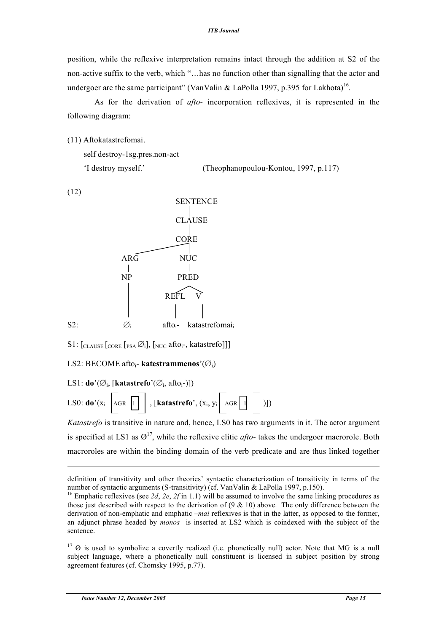position, while the reflexive interpretation remains intact through the addition at S2 of the non-active suffix to the verb, which "…has no function other than signalling that the actor and undergoer are the same participant" (VanValin & LaPolla 1997, p.395 for Lakhota)<sup>16</sup>.

As for the derivation of *afto-* incorporation reflexives, it is represented in the following diagram:

(11) Aftokatastrefomai.

```
self destroy-1sg.pres.non-act
'I destroy myself.' (Theophanopoulou-Kontou, 1997, p.117)
```
(12)

 $\overline{a}$ 



S1:  $\left[CLAUSE \right]$   $\left[PSA \oslash i\right]$ ,  $\left[NUC \right]$  afto<sub>i</sub>-, katastrefo]]

LS2: BECOME aftoi- **katestrammenos**'(∅i)

LS1: **do**' $(\emptyset$ <sub>i</sub>, [**katastrefo**' $(\emptyset$ <sub>i</sub>, afto<sub>i</sub>-)])

LS0: **do**'( $x_i$  AGR 1 ), [**katastrefo**',  $(x_i, y_i$  AGR 1 )])

*Katastrefo* is transitive in nature and, hence, LS0 has two arguments in it. The actor argument is specified at LS1 as  $\varnothing^{17}$ , while the reflexive clitic *afto*- takes the undergoer macrorole. Both macroroles are within the binding domain of the verb predicate and are thus linked together

 $17 \text{ } \emptyset$  is used to symbolize a covertly realized (i.e. phonetically null) actor. Note that MG is a null subject language, where a phonetically null constituent is licensed in subject position by strong agreement features (cf. Chomsky 1995, p.77).

definition of transitivity and other theories' syntactic characterization of transitivity in terms of the number of syntactic arguments (S-transitivity) (cf. VanValin & LaPolla 1997, p.150).<br><sup>16</sup> Emphatic reflexives (see *2d*, *2e*, *2f* in 1.1) will be assumed to involve the same linking procedures as

those just described with respect to the derivation of  $(9 \& 10)$  above. The only difference between the derivation of non-emphatic and emphatic *–mai* reflexives is that in the latter, as opposed to the former, an adjunct phrase headed by *monos* is inserted at LS2 which is coindexed with the subject of the sentence.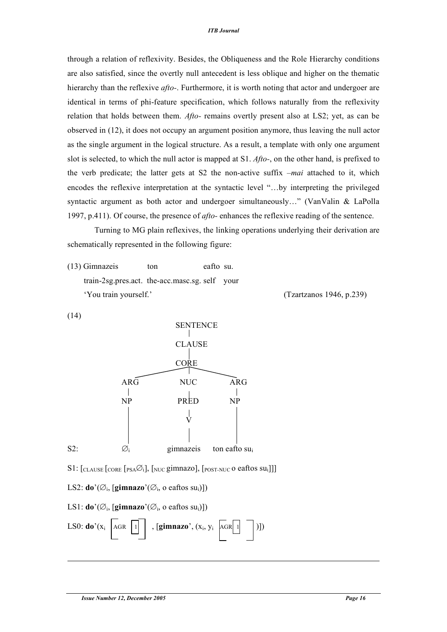through a relation of reflexivity. Besides, the Obliqueness and the Role Hierarchy conditions are also satisfied, since the overtly null antecedent is less oblique and higher on the thematic hierarchy than the reflexive *afto-*. Furthermore, it is worth noting that actor and undergoer are identical in terms of phi-feature specification, which follows naturally from the reflexivity relation that holds between them. *Afto-* remains overtly present also at LS2; yet, as can be observed in (12), it does not occupy an argument position anymore, thus leaving the null actor as the single argument in the logical structure. As a result, a template with only one argument slot is selected, to which the null actor is mapped at S1. *Afto-*, on the other hand, is prefixed to the verb predicate; the latter gets at S2 the non-active suffix *–mai* attached to it, which encodes the reflexive interpretation at the syntactic level "…by interpreting the privileged syntactic argument as both actor and undergoer simultaneously..." (VanValin & LaPolla 1997, p.411). Of course, the presence of *afto-* enhances the reflexive reading of the sentence.

Turning to MG plain reflexives, the linking operations underlying their derivation are schematically represented in the following figure:

(13) Gimnazeis ton eafto su. train-2sg.pres.act. the-acc.masc.sg. self your 'You train yourself.' (Tzartzanos 1946, p.239)



LS0: **do**'( $x_i$  AGR 1 , [**gimnazo**',  $(x_i, y_i$  AGR 1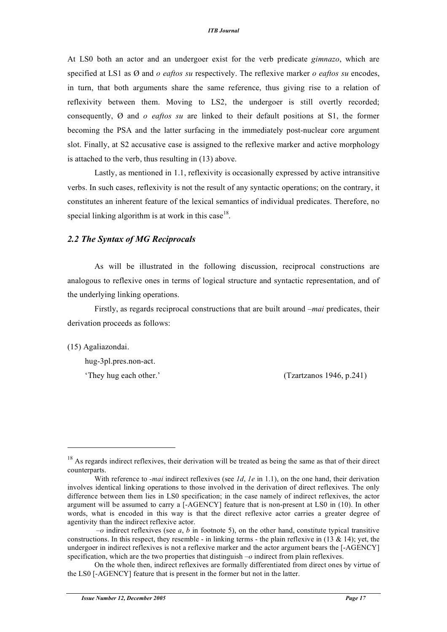At LS0 both an actor and an undergoer exist for the verb predicate *gimnazo*, which are specified at LS1 as Ø and *o eaftos su* respectively. The reflexive marker *o eaftos su* encodes, in turn, that both arguments share the same reference, thus giving rise to a relation of reflexivity between them. Moving to LS2, the undergoer is still overtly recorded; consequently, Ø and *o eaftos su* are linked to their default positions at S1, the former becoming the PSA and the latter surfacing in the immediately post-nuclear core argument slot. Finally, at S2 accusative case is assigned to the reflexive marker and active morphology is attached to the verb, thus resulting in (13) above.

Lastly, as mentioned in 1.1, reflexivity is occasionally expressed by active intransitive verbs. In such cases, reflexivity is not the result of any syntactic operations; on the contrary, it constitutes an inherent feature of the lexical semantics of individual predicates. Therefore, no special linking algorithm is at work in this case<sup>18</sup>.

#### *2.2 The Syntax of MG Reciprocals*

As will be illustrated in the following discussion, reciprocal constructions are analogous to reflexive ones in terms of logical structure and syntactic representation, and of the underlying linking operations.

Firstly, as regards reciprocal constructions that are built around *–mai* predicates, their derivation proceeds as follows:

(15) Agaliazondai.

l

hug-3pl.pres.non-act.

'They hug each other.' (Tzartzanos 1946, p.241)

<sup>&</sup>lt;sup>18</sup> As regards indirect reflexives, their derivation will be treated as being the same as that of their direct counterparts.

With reference to *-mai* indirect reflexives (see *1d, 1e* in 1.1), on the one hand, their derivation involves identical linking operations to those involved in the derivation of direct reflexives. The only difference between them lies in LS0 specification; in the case namely of indirect reflexives, the actor argument will be assumed to carry a [-AGENCY] feature that is non-present at LS0 in (10). In other words, what is encoded in this way is that the direct reflexive actor carries a greater degree of agentivity than the indirect reflexive actor.

*<sup>–</sup>o* indirect reflexives (see *a*, *b* in footnote 5), on the other hand, constitute typical transitive constructions. In this respect, they resemble - in linking terms - the plain reflexive in  $(13 \& 14)$ ; yet, the undergoer in indirect reflexives is not a reflexive marker and the actor argument bears the [-AGENCY] specification, which are the two properties that distinguish *–o* indirect from plain reflexives.

On the whole then, indirect reflexives are formally differentiated from direct ones by virtue of the LS0 [-AGENCY] feature that is present in the former but not in the latter.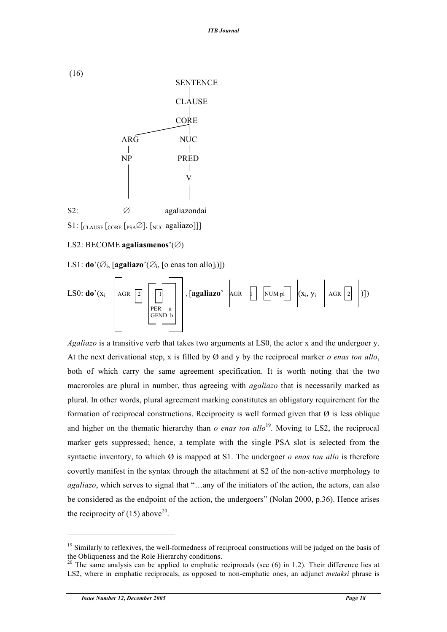

 $S1:$  [CLAUSE [CORE [PSA $\varnothing$ ], [NUC agaliazo]]]

#### LS2: BECOME **agaliasmenos**'(∅)

LS1: **do**'( $\varnothing$ <sub>i</sub>, [**agaliazo**'( $\varnothing$ <sub>i</sub>, [**o** enas ton allo]<sub>i</sub>)])



*Agaliazo* is a transitive verb that takes two arguments at LS0, the actor x and the undergoer y. At the next derivational step, x is filled by Ø and y by the reciprocal marker *o enas ton allo*, both of which carry the same agreement specification. It is worth noting that the two macroroles are plural in number, thus agreeing with *agaliazo* that is necessarily marked as plural. In other words, plural agreement marking constitutes an obligatory requirement for the formation of reciprocal constructions. Reciprocity is well formed given that  $\emptyset$  is less oblique and higher on the thematic hierarchy than *o enas ton allo*<sup>19</sup>. Moving to LS2, the reciprocal marker gets suppressed; hence, a template with the single PSA slot is selected from the syntactic inventory, to which Ø is mapped at S1. The undergoer *o enas ton allo* is therefore covertly manifest in the syntax through the attachment at S2 of the non-active morphology to *agaliazo*, which serves to signal that "…any of the initiators of the action, the actors, can also be considered as the endpoint of the action, the undergoers" (Nolan 2000, p.36). Hence arises the reciprocity of (15) above<sup>20</sup>.

 $19$  Similarly to reflexives, the well-formedness of reciprocal constructions will be judged on the basis of

the Obliqueness and the Role Hierarchy conditions.<br><sup>20</sup> The same analysis can be applied to emphatic reciprocals (see (6) in 1.2). Their difference lies at LS2, where in emphatic reciprocals, as opposed to non-emphatic ones, an adjunct *metaksi* phrase is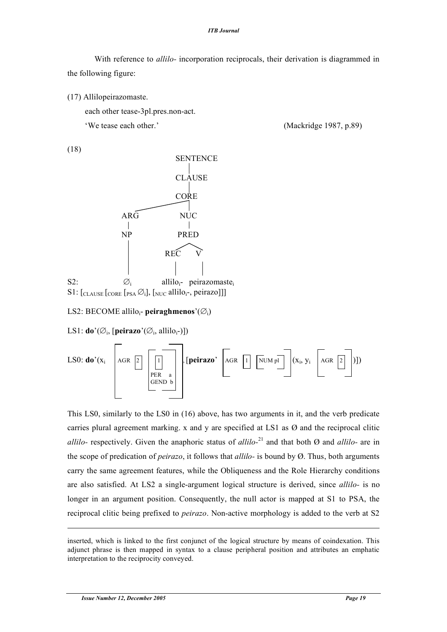#### *ITB Journal*

With reference to *allilo-* incorporation reciprocals, their derivation is diagrammed in the following figure:

(17) Allilopeirazomaste.

each other tease-3pl.pres.non-act.

'We tease each other.' (Mackridge 1987, p.89)

(18)



S1:  $\left[\text{CLAUSE}\left[\text{CORE}\left[\text{PSA}\,\emptyset\right]\right], \left[\text{NUC}\text{allilo}_i\text{-}, \text{peirazo}\right]\right]\right]$ 

#### LS2: BECOME alliloi- **peiraghmenos**'(∅i)

LS1: **do**'( $\varnothing$ <sub>i</sub>, [**peirazo**'( $\varnothing$ <sub>i</sub>, allilo<sub>i</sub>-)])



This LS0, similarly to the LS0 in (16) above, has two arguments in it, and the verb predicate carries plural agreement marking. x and y are specified at LS1 as  $\varnothing$  and the reciprocal clitic *allilo-* respectively. Given the anaphoric status of *allilo-*21 and that both Ø and *allilo-* are in the scope of predication of *peirazo*, it follows that *allilo-* is bound by Ø. Thus, both arguments carry the same agreement features, while the Obliqueness and the Role Hierarchy conditions are also satisfied. At LS2 a single-argument logical structure is derived, since *allilo-* is no longer in an argument position. Consequently, the null actor is mapped at S1 to PSA, the reciprocal clitic being prefixed to *peirazo*. Non-active morphology is added to the verb at S2

inserted, which is linked to the first conjunct of the logical structure by means of coindexation. This adjunct phrase is then mapped in syntax to a clause peripheral position and attributes an emphatic interpretation to the reciprocity conveyed.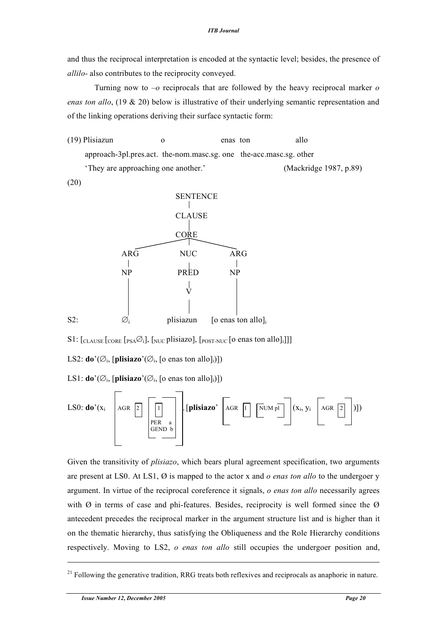and thus the reciprocal interpretation is encoded at the syntactic level; besides, the presence of *allilo-* also contributes to the reciprocity conveyed.

Turning now to *–o* reciprocals that are followed by the heavy reciprocal marker *o enas ton allo*, (19 & 20) below is illustrative of their underlying semantic representation and of the linking operations deriving their surface syntactic form:

(19) Plisiazun o enas ton allo approach-3pl.pres.act. the-nom.masc.sg. one the-acc.masc.sg. other 'They are approaching one another.' (Mackridge 1987, p.89)

(20)



S1:  $[_{\text{CLAUSE}}$   $[_{\text{CORE}}$   $[_{\text{PSA}}\varnothing_i]$ ,  $[_{\text{NUC}}$  plisiazo],  $[_{\text{POST-NUC}}$  [o enas ton allo]<sub>i</sub>]]]

LS2: **do**'( $\varnothing$ <sub>i</sub>, [**plisiazo**'( $\varnothing$ <sub>i</sub>, [**o** enas ton allo]<sub>i</sub>)])

LS1: **do**'( $\emptyset$ <sub>i</sub>, [**plisiazo**'( $\emptyset$ <sub>i</sub>, [**o** enas ton allo]<sub>i</sub>)])



Given the transitivity of *plisiazo*, which bears plural agreement specification, two arguments are present at LS0. At LS1, Ø is mapped to the actor x and *o enas ton allo* to the undergoer y argument. In virtue of the reciprocal coreference it signals, *o enas ton allo* necessarily agrees with  $\emptyset$  in terms of case and phi-features. Besides, reciprocity is well formed since the  $\emptyset$ antecedent precedes the reciprocal marker in the argument structure list and is higher than it on the thematic hierarchy, thus satisfying the Obliqueness and the Role Hierarchy conditions respectively. Moving to LS2, *o enas ton allo* still occupies the undergoer position and,

 $21$  Following the generative tradition, RRG treats both reflexives and reciprocals as anaphoric in nature.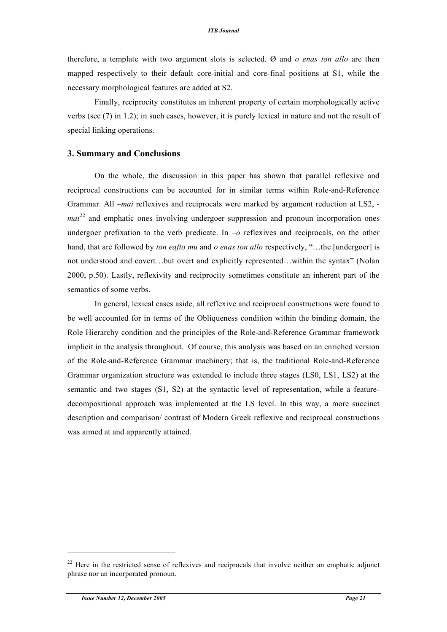therefore, a template with two argument slots is selected. Ø and *o enas ton allo* are then mapped respectively to their default core-initial and core-final positions at S1, while the necessary morphological features are added at S2.

Finally, reciprocity constitutes an inherent property of certain morphologically active verbs (see (7) in 1.2); in such cases, however, it is purely lexical in nature and not the result of special linking operations.

#### **3. Summary and Conclusions**

On the whole, the discussion in this paper has shown that parallel reflexive and reciprocal constructions can be accounted for in similar terms within Role-and-Reference Grammar. All *–mai* reflexives and reciprocals were marked by argument reduction at LS2,  *mai*<sup>22</sup> and emphatic ones involving undergoer suppression and pronoun incorporation ones undergoer prefixation to the verb predicate. In  $-o$  reflexives and reciprocals, on the other hand, that are followed by *ton eafto mu* and *o enas ton allo* respectively, "…the [undergoer] is not understood and covert…but overt and explicitly represented…within the syntax" (Nolan 2000, p.50). Lastly, reflexivity and reciprocity sometimes constitute an inherent part of the semantics of some verbs.

In general, lexical cases aside, all reflexive and reciprocal constructions were found to be well accounted for in terms of the Obliqueness condition within the binding domain, the Role Hierarchy condition and the principles of the Role-and-Reference Grammar framework implicit in the analysis throughout. Of course, this analysis was based on an enriched version of the Role-and-Reference Grammar machinery; that is, the traditional Role-and-Reference Grammar organization structure was extended to include three stages (LS0, LS1, LS2) at the semantic and two stages (S1, S2) at the syntactic level of representation, while a featuredecompositional approach was implemented at the LS level. In this way, a more succinct description and comparison/ contrast of Modern Greek reflexive and reciprocal constructions was aimed at and apparently attained.

 $\overline{a}$ 

 $22$  Here in the restricted sense of reflexives and reciprocals that involve neither an emphatic adjunct phrase nor an incorporated pronoun.